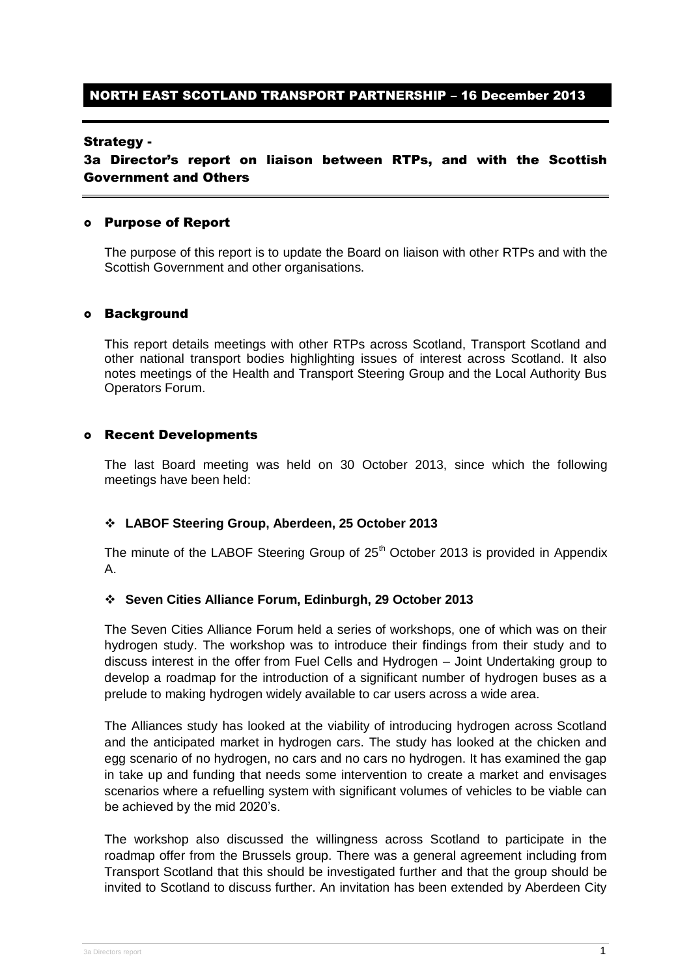### NORTH EAST SCOTLAND TRANSPORT PARTNERSHIP – 16 December 2013

### Strategy -

3a Director's report on liaison between RTPs, and with the Scottish Government and Others

### Purpose of Report

The purpose of this report is to update the Board on liaison with other RTPs and with the Scottish Government and other organisations.

#### Background

This report details meetings with other RTPs across Scotland, Transport Scotland and other national transport bodies highlighting issues of interest across Scotland. It also notes meetings of the Health and Transport Steering Group and the Local Authority Bus Operators Forum.

### Recent Developments

The last Board meeting was held on 30 October 2013, since which the following meetings have been held:

### **LABOF Steering Group, Aberdeen, 25 October 2013**

The minute of the LABOF Steering Group of  $25<sup>th</sup>$  October 2013 is provided in Appendix A.

#### **Seven Cities Alliance Forum, Edinburgh, 29 October 2013**

The Seven Cities Alliance Forum held a series of workshops, one of which was on their hydrogen study. The workshop was to introduce their findings from their study and to discuss interest in the offer from Fuel Cells and Hydrogen – Joint Undertaking group to develop a roadmap for the introduction of a significant number of hydrogen buses as a prelude to making hydrogen widely available to car users across a wide area.

The Alliances study has looked at the viability of introducing hydrogen across Scotland and the anticipated market in hydrogen cars. The study has looked at the chicken and egg scenario of no hydrogen, no cars and no cars no hydrogen. It has examined the gap in take up and funding that needs some intervention to create a market and envisages scenarios where a refuelling system with significant volumes of vehicles to be viable can be achieved by the mid 2020's.

The workshop also discussed the willingness across Scotland to participate in the roadmap offer from the Brussels group. There was a general agreement including from Transport Scotland that this should be investigated further and that the group should be invited to Scotland to discuss further. An invitation has been extended by Aberdeen City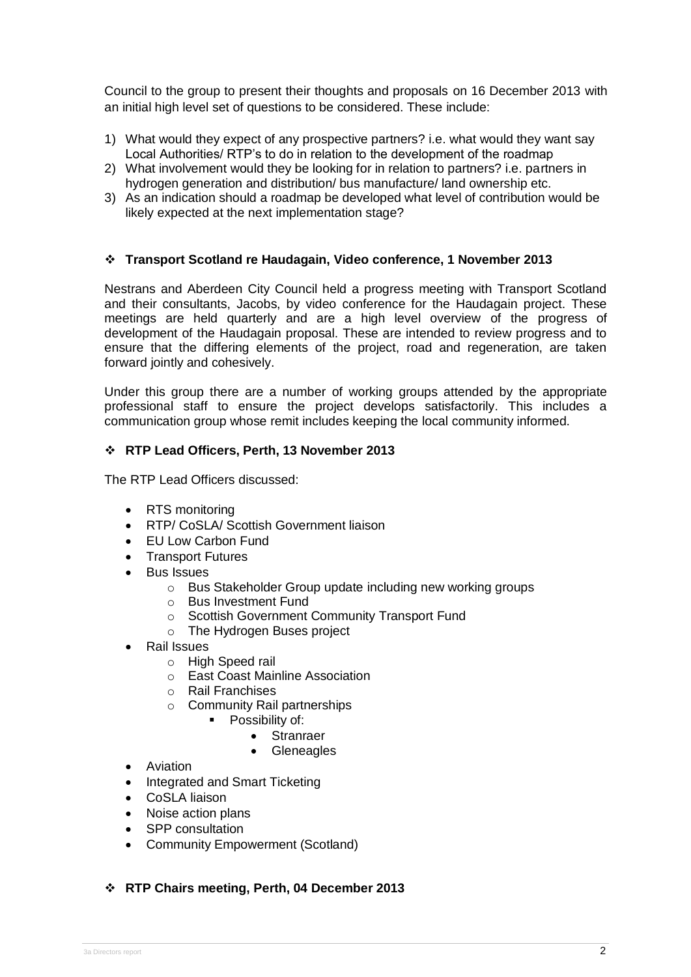Council to the group to present their thoughts and proposals on 16 December 2013 with an initial high level set of questions to be considered. These include:

- 1) What would they expect of any prospective partners? i.e. what would they want say Local Authorities/ RTP's to do in relation to the development of the roadmap
- 2) What involvement would they be looking for in relation to partners? i.e. partners in hydrogen generation and distribution/ bus manufacture/ land ownership etc.
- 3) As an indication should a roadmap be developed what level of contribution would be likely expected at the next implementation stage?

### **Transport Scotland re Haudagain, Video conference, 1 November 2013**

Nestrans and Aberdeen City Council held a progress meeting with Transport Scotland and their consultants, Jacobs, by video conference for the Haudagain project. These meetings are held quarterly and are a high level overview of the progress of development of the Haudagain proposal. These are intended to review progress and to ensure that the differing elements of the project, road and regeneration, are taken forward jointly and cohesively.

Under this group there are a number of working groups attended by the appropriate professional staff to ensure the project develops satisfactorily. This includes a communication group whose remit includes keeping the local community informed.

### **RTP Lead Officers, Perth, 13 November 2013**

The RTP Lead Officers discussed:

- RTS monitoring
- RTP/ CoSLA/ Scottish Government liaison
- EU Low Carbon Fund
- Transport Futures
- Bus Issues
	- o Bus Stakeholder Group update including new working groups
	- o Bus Investment Fund
	- o Scottish Government Community Transport Fund
	- o The Hydrogen Buses project
- Rail Issues
	- o High Speed rail
	- o East Coast Mainline Association
	- o Rail Franchises
	- o Community Rail partnerships
		- Possibility of:
			- Stranraer
			- Gleneagles
- **•** Aviation
- Integrated and Smart Ticketing
- CoSLA liaison
- Noise action plans
- SPP consultation
- Community Empowerment (Scotland)

### **RTP Chairs meeting, Perth, 04 December 2013**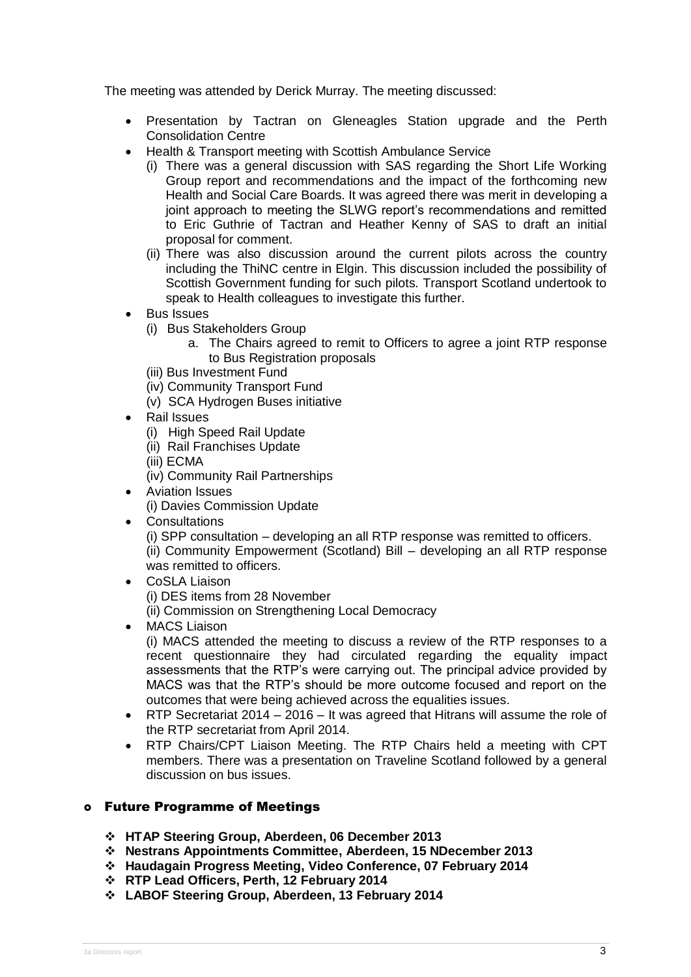The meeting was attended by Derick Murray. The meeting discussed:

- Presentation by Tactran on Gleneagles Station upgrade and the Perth Consolidation Centre
- Health & Transport meeting with Scottish Ambulance Service
	- (i) There was a general discussion with SAS regarding the Short Life Working Group report and recommendations and the impact of the forthcoming new Health and Social Care Boards. It was agreed there was merit in developing a joint approach to meeting the SLWG report's recommendations and remitted to Eric Guthrie of Tactran and Heather Kenny of SAS to draft an initial proposal for comment.
	- (ii) There was also discussion around the current pilots across the country including the ThiNC centre in Elgin. This discussion included the possibility of Scottish Government funding for such pilots. Transport Scotland undertook to speak to Health colleagues to investigate this further.
- Bus Issues
	- (i) Bus Stakeholders Group
		- a. The Chairs agreed to remit to Officers to agree a joint RTP response to Bus Registration proposals
	- (iii) Bus Investment Fund
	- (iv) Community Transport Fund
	- (v) SCA Hydrogen Buses initiative
- Rail Issues
	- (i) High Speed Rail Update
	- (ii) Rail Franchises Update
	- (iii) ECMA
	- (iv) Community Rail Partnerships
- Aviation Issues
	- (i) Davies Commission Update
- **Consultations**

(i) SPP consultation – developing an all RTP response was remitted to officers. (ii) Community Empowerment (Scotland) Bill – developing an all RTP response was remitted to officers.

- CoSLA Liaison (i) DES items from 28 November
	- (ii) Commission on Strengthening Local Democracy
- MACS Liaison

(i) MACS attended the meeting to discuss a review of the RTP responses to a recent questionnaire they had circulated regarding the equality impact assessments that the RTP's were carrying out. The principal advice provided by MACS was that the RTP's should be more outcome focused and report on the outcomes that were being achieved across the equalities issues.

- RTP Secretariat 2014 2016 It was agreed that Hitrans will assume the role of the RTP secretariat from April 2014.
- RTP Chairs/CPT Liaison Meeting. The RTP Chairs held a meeting with CPT members. There was a presentation on Traveline Scotland followed by a general discussion on bus issues.

### Future Programme of Meetings

- **HTAP Steering Group, Aberdeen, 06 December 2013**
- **Nestrans Appointments Committee, Aberdeen, 15 NDecember 2013**
- **Haudagain Progress Meeting, Video Conference, 07 February 2014**
- **RTP Lead Officers, Perth, 12 February 2014**
- **LABOF Steering Group, Aberdeen, 13 February 2014**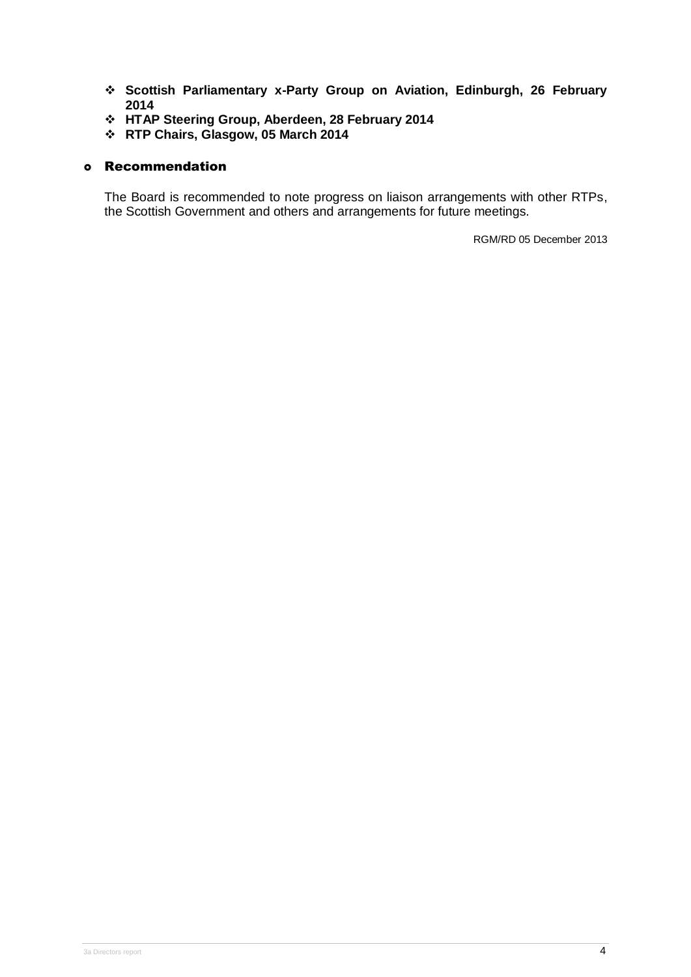- **Scottish Parliamentary x-Party Group on Aviation, Edinburgh, 26 February 2014**
- **HTAP Steering Group, Aberdeen, 28 February 2014**
- **RTP Chairs, Glasgow, 05 March 2014**

### Recommendation

The Board is recommended to note progress on liaison arrangements with other RTPs, the Scottish Government and others and arrangements for future meetings.

RGM/RD 05 December 2013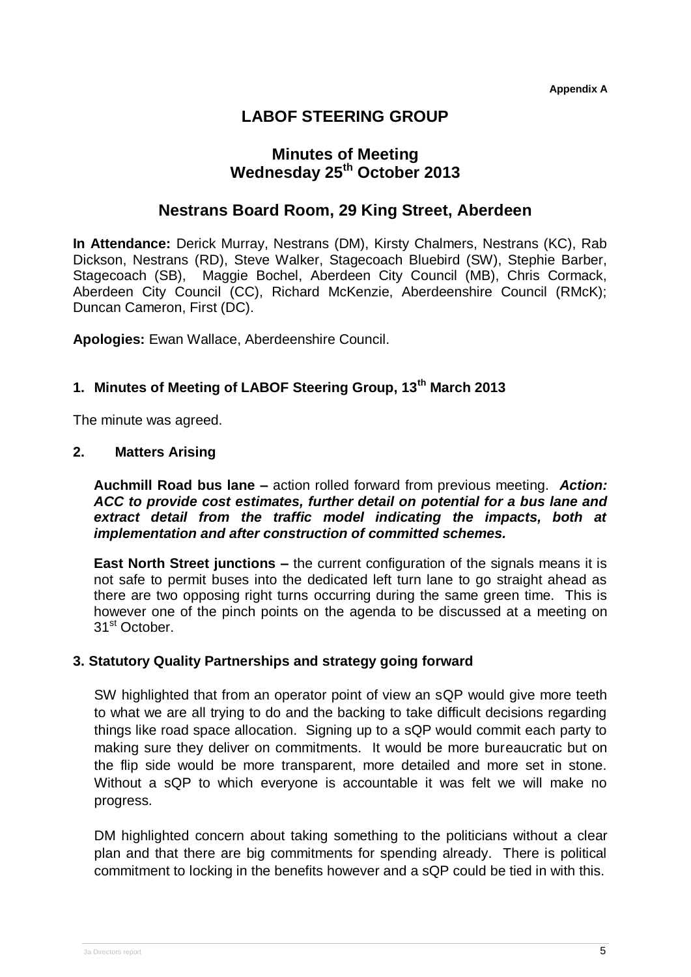**Appendix A**

# **LABOF STEERING GROUP**

# **Minutes of Meeting Wednesday 25th October 2013**

## **Nestrans Board Room, 29 King Street, Aberdeen**

**In Attendance:** Derick Murray, Nestrans (DM), Kirsty Chalmers, Nestrans (KC), Rab Dickson, Nestrans (RD), Steve Walker, Stagecoach Bluebird (SW), Stephie Barber, Stagecoach (SB), Maggie Bochel, Aberdeen City Council (MB), Chris Cormack, Aberdeen City Council (CC), Richard McKenzie, Aberdeenshire Council (RMcK); Duncan Cameron, First (DC).

**Apologies:** Ewan Wallace, Aberdeenshire Council.

## **1. Minutes of Meeting of LABOF Steering Group, 13th March 2013**

The minute was agreed.

### **2. Matters Arising**

**Auchmill Road bus lane –** action rolled forward from previous meeting. *Action: ACC to provide cost estimates, further detail on potential for a bus lane and extract detail from the traffic model indicating the impacts, both at implementation and after construction of committed schemes.* 

**East North Street junctions –** the current configuration of the signals means it is not safe to permit buses into the dedicated left turn lane to go straight ahead as there are two opposing right turns occurring during the same green time. This is however one of the pinch points on the agenda to be discussed at a meeting on 31<sup>st</sup> October.

## **3. Statutory Quality Partnerships and strategy going forward**

SW highlighted that from an operator point of view an sQP would give more teeth to what we are all trying to do and the backing to take difficult decisions regarding things like road space allocation. Signing up to a sQP would commit each party to making sure they deliver on commitments. It would be more bureaucratic but on the flip side would be more transparent, more detailed and more set in stone. Without a sQP to which everyone is accountable it was felt we will make no progress.

DM highlighted concern about taking something to the politicians without a clear plan and that there are big commitments for spending already. There is political commitment to locking in the benefits however and a sQP could be tied in with this.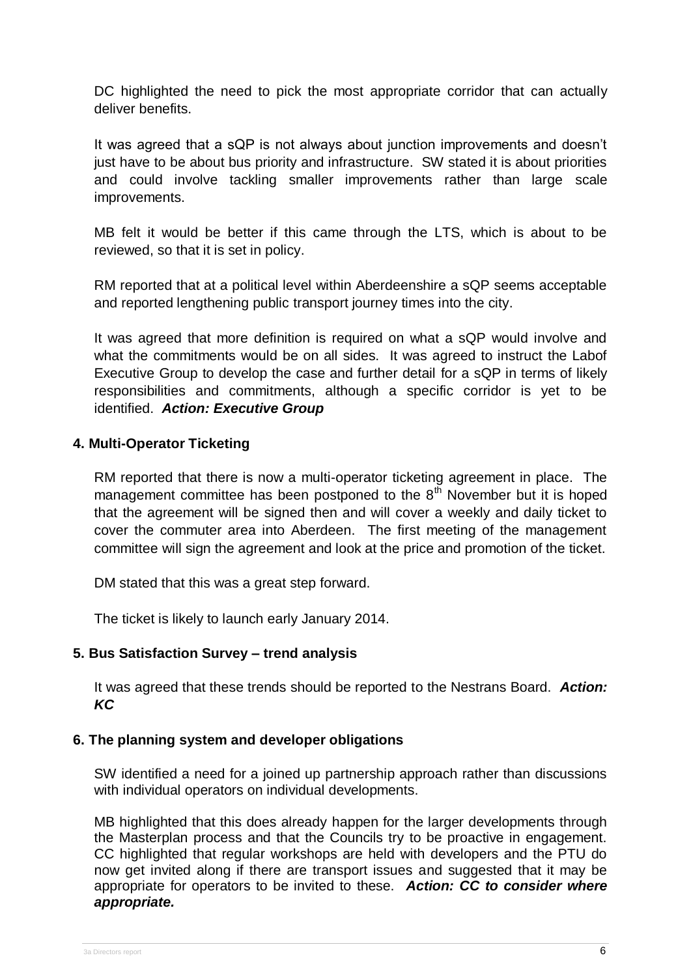DC highlighted the need to pick the most appropriate corridor that can actually deliver benefits.

It was agreed that a sQP is not always about junction improvements and doesn't just have to be about bus priority and infrastructure. SW stated it is about priorities and could involve tackling smaller improvements rather than large scale improvements.

MB felt it would be better if this came through the LTS, which is about to be reviewed, so that it is set in policy.

RM reported that at a political level within Aberdeenshire a sQP seems acceptable and reported lengthening public transport journey times into the city.

It was agreed that more definition is required on what a sQP would involve and what the commitments would be on all sides. It was agreed to instruct the Labof Executive Group to develop the case and further detail for a sQP in terms of likely responsibilities and commitments, although a specific corridor is yet to be identified. *Action: Executive Group*

## **4. Multi-Operator Ticketing**

RM reported that there is now a multi-operator ticketing agreement in place. The management committee has been postponed to the  $8<sup>th</sup>$  November but it is hoped that the agreement will be signed then and will cover a weekly and daily ticket to cover the commuter area into Aberdeen. The first meeting of the management committee will sign the agreement and look at the price and promotion of the ticket.

DM stated that this was a great step forward.

The ticket is likely to launch early January 2014.

## **5. Bus Satisfaction Survey – trend analysis**

It was agreed that these trends should be reported to the Nestrans Board. *Action: KC*

### **6. The planning system and developer obligations**

SW identified a need for a joined up partnership approach rather than discussions with individual operators on individual developments.

MB highlighted that this does already happen for the larger developments through the Masterplan process and that the Councils try to be proactive in engagement. CC highlighted that regular workshops are held with developers and the PTU do now get invited along if there are transport issues and suggested that it may be appropriate for operators to be invited to these. *Action: CC to consider where appropriate.*